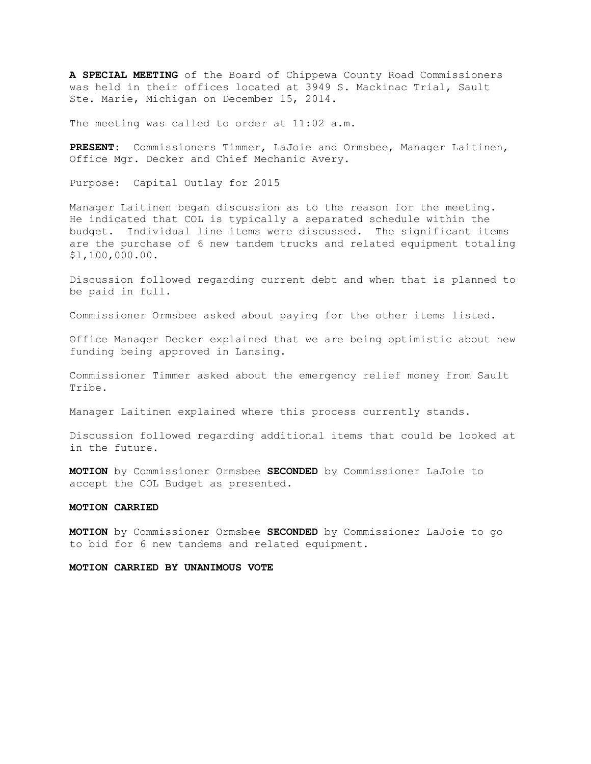**A SPECIAL MEETING** of the Board of Chippewa County Road Commissioners was held in their offices located at 3949 S. Mackinac Trial, Sault Ste. Marie, Michigan on December 15, 2014.

The meeting was called to order at 11:02 a.m.

**PRESENT:** Commissioners Timmer, LaJoie and Ormsbee, Manager Laitinen, Office Mgr. Decker and Chief Mechanic Avery.

Purpose: Capital Outlay for 2015

Manager Laitinen began discussion as to the reason for the meeting. He indicated that COL is typically a separated schedule within the budget. Individual line items were discussed. The significant items are the purchase of 6 new tandem trucks and related equipment totaling \$l,100,000.00.

Discussion followed regarding current debt and when that is planned to be paid in full.

Commissioner Ormsbee asked about paying for the other items listed.

Office Manager Decker explained that we are being optimistic about new funding being approved in Lansing.

Commissioner Timmer asked about the emergency relief money from Sault Tribe.

Manager Laitinen explained where this process currently stands.

Discussion followed regarding additional items that could be looked at in the future.

**MOTION** by Commissioner Ormsbee **SECONDED** by Commissioner LaJoie to accept the COL Budget as presented.

## **MOTION CARRIED**

**MOTION** by Commissioner Ormsbee **SECONDED** by Commissioner LaJoie to go to bid for 6 new tandems and related equipment.

## **MOTION CARRIED BY UNANIMOUS VOTE**